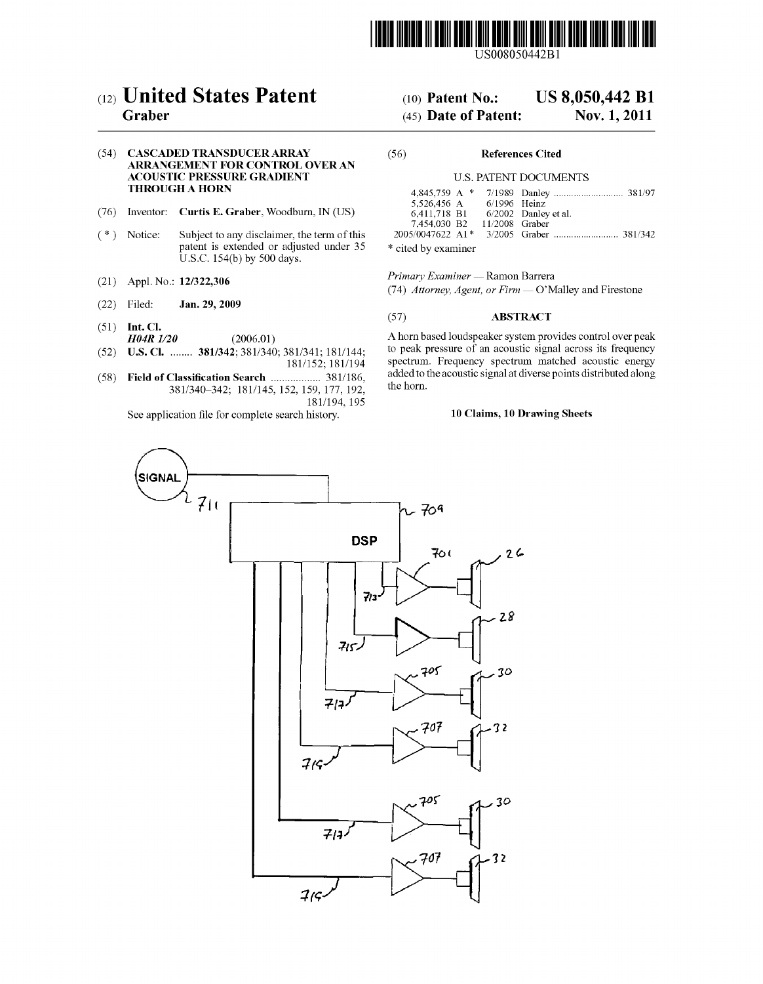

US008050442B1

# (12) United States Patent

## Graber

#### (54) CASCADED TRANSDUCER ARRAY ARRANGEMENT FOR CONTROL OVER AN ACOUSTIC PRESSURE GRADENT THROUGH A HORN

- (76) Inventor: Curtis E. Graber, Woodburn, IN (US)
- $(* )$ Notice: Subject to any disclaimer, the term of this patent is extended or adjusted under 35 U.S.C. 154(b) by 500 days.
- (21) Appl. No.:  $12/322,300$
- (22) Jan. 29, 2009
- $(51)$  Int. Cl.
- $H04R$   $1/20$   $(2006.01)$
- (52) U.S. Cl. ........ 381/342; 381/340; 381/341; 181/144;
- (58) 181/152; 181/194 Field of Classification Search .................. 381/186, 381/340–342; 181/145, 152, 159, 177, 192, 181/194, 195

See application file for complete search history.

# (10) Patent No.: US 8,050,442 B1<br>(45) Date of Patent: Nov. 1, 2011

### $(45)$  Date of Patent:

#### (56) References Cited

#### U.S. PATENT DOCUMENTS

| 5.526.456 A      | $6/1996$ Heinz |                        |
|------------------|----------------|------------------------|
| 6,411,718 B1     |                | $6/2002$ Danley et al. |
| 7,454,030 B2     | 11/2008 Graber |                        |
| 2005/0047622 A1* |                |                        |
|                  |                |                        |

\* cited by examiner

Primary Examiner — Ramon Barrera

(74) Attorney, Agent, or Firm — O'Malley and Firestone

#### (57) ABSTRACT

A horn based loudspeaker system provides control over peak to peak pressure of an acoustic signal across its frequency spectrum. Frequency spectrum matched acoustic energy added to the acoustic signal at diverse points distributed along the horn.

#### 10 Claims, 10 Drawing Sheets

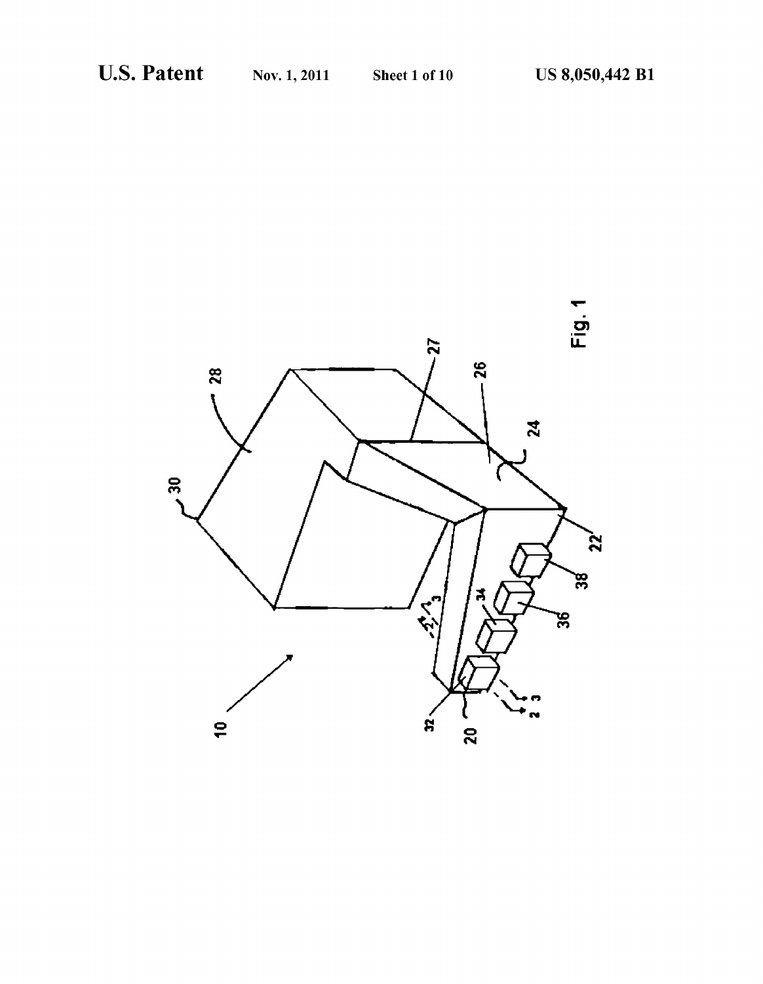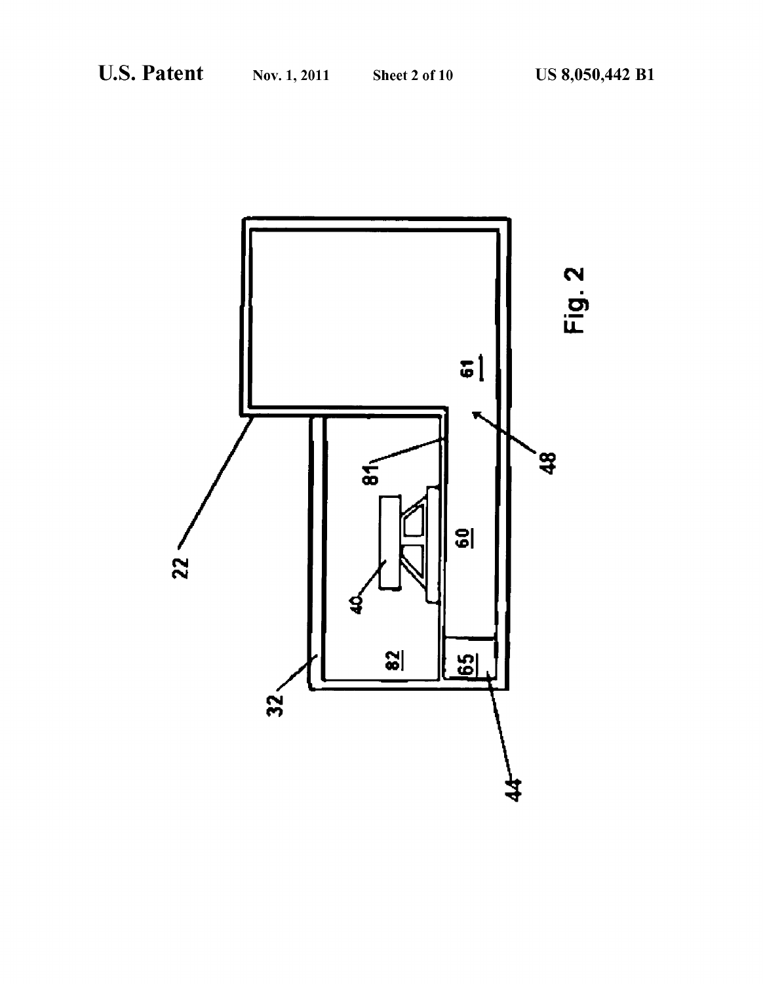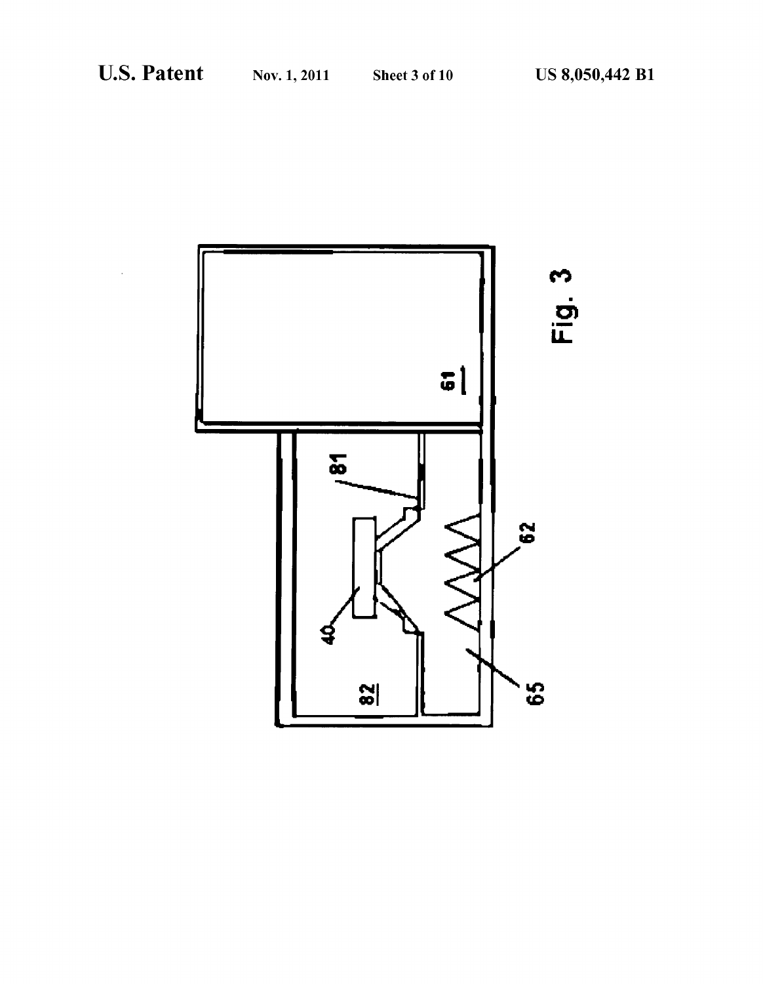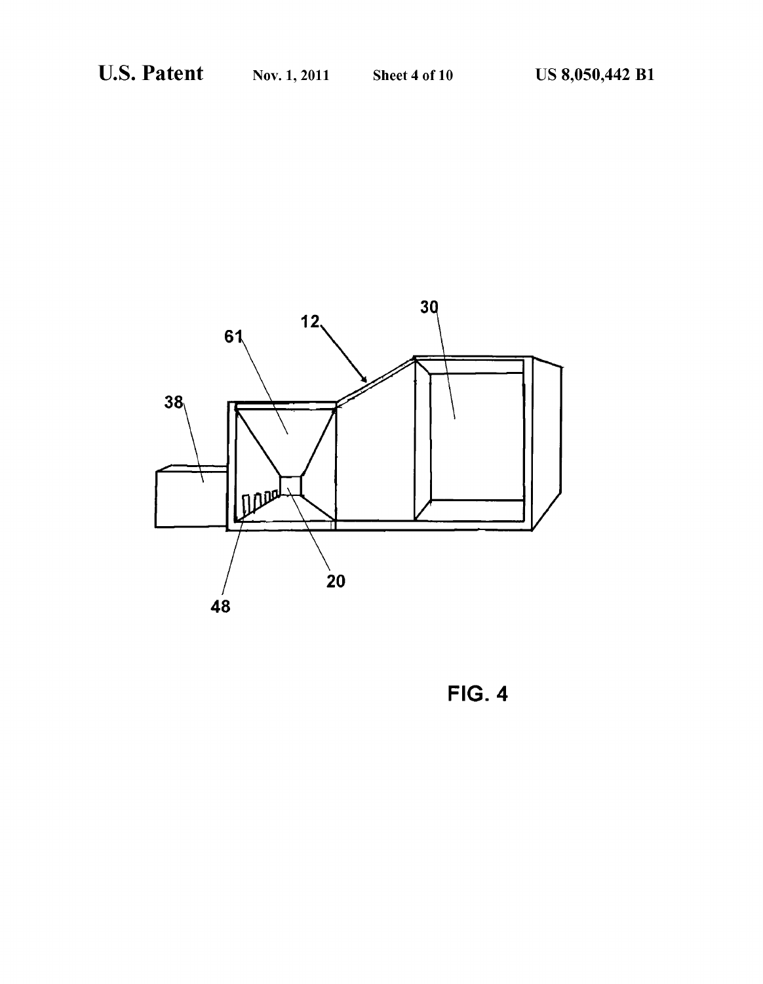

FIG. 4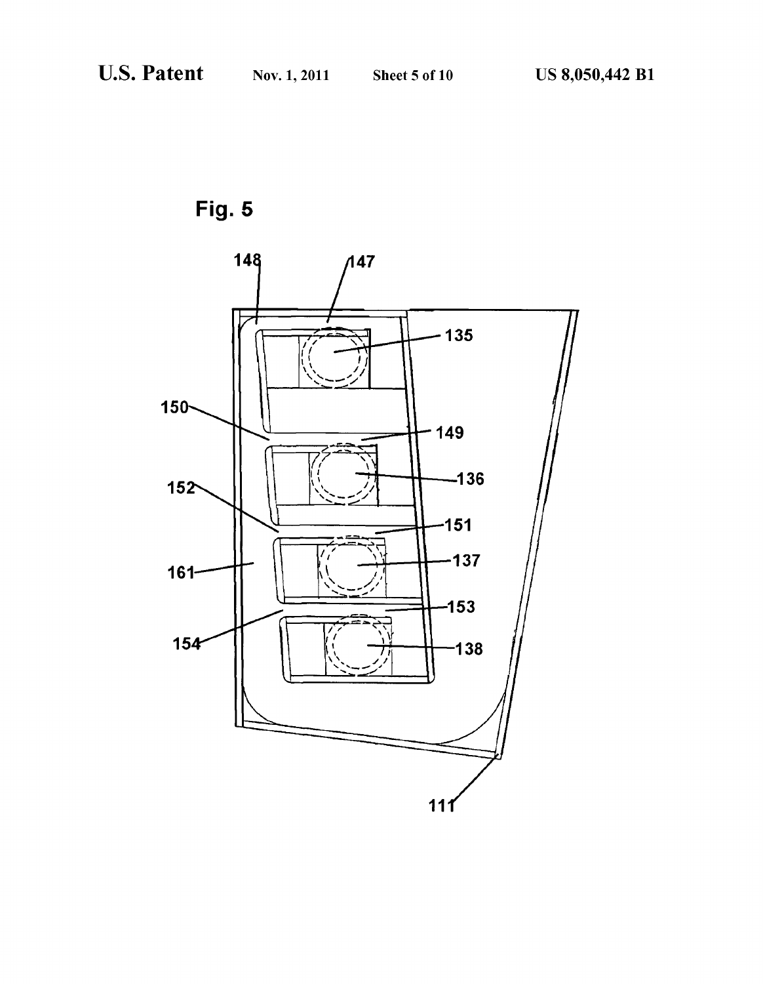Fig. 5

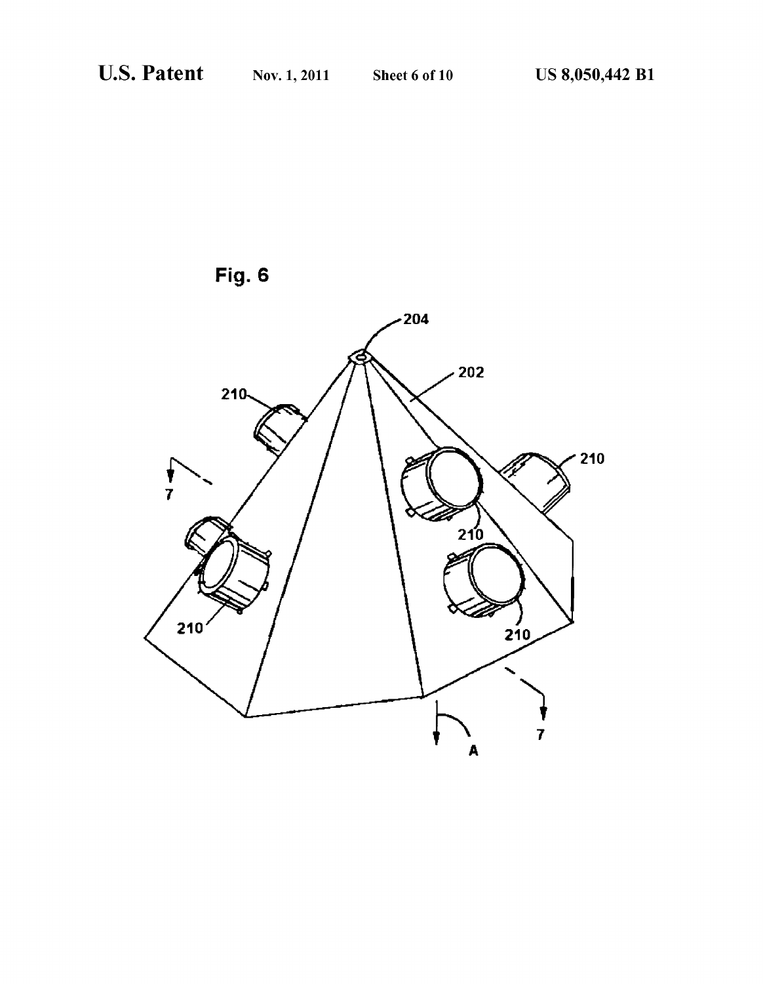

Fig. 6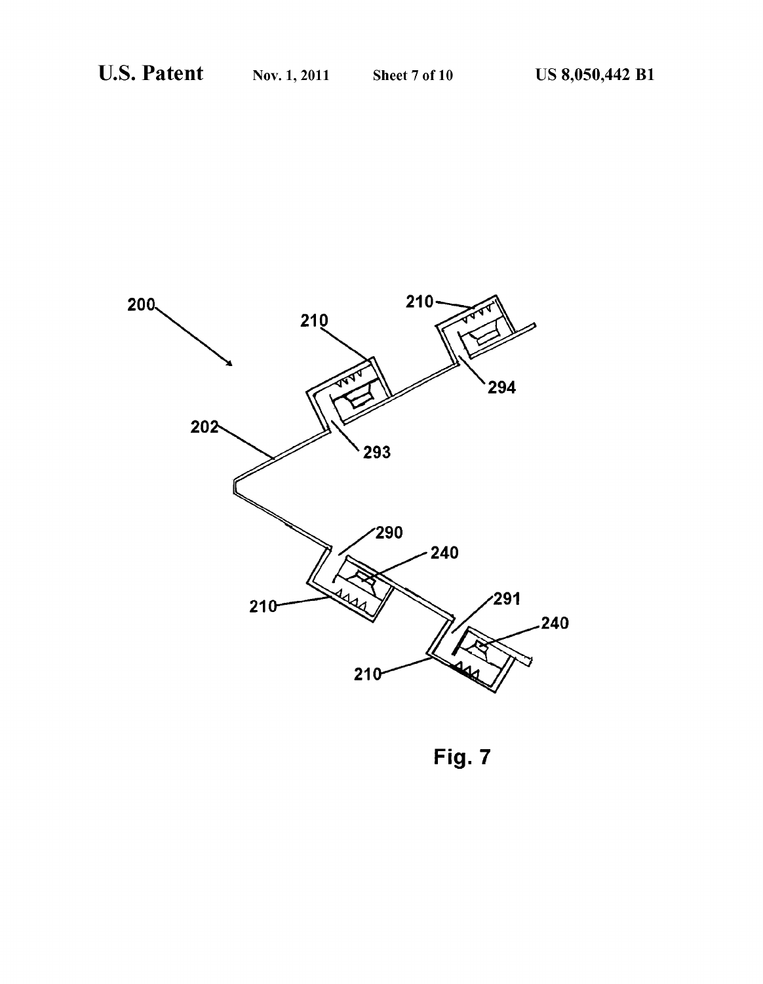

Fig. 7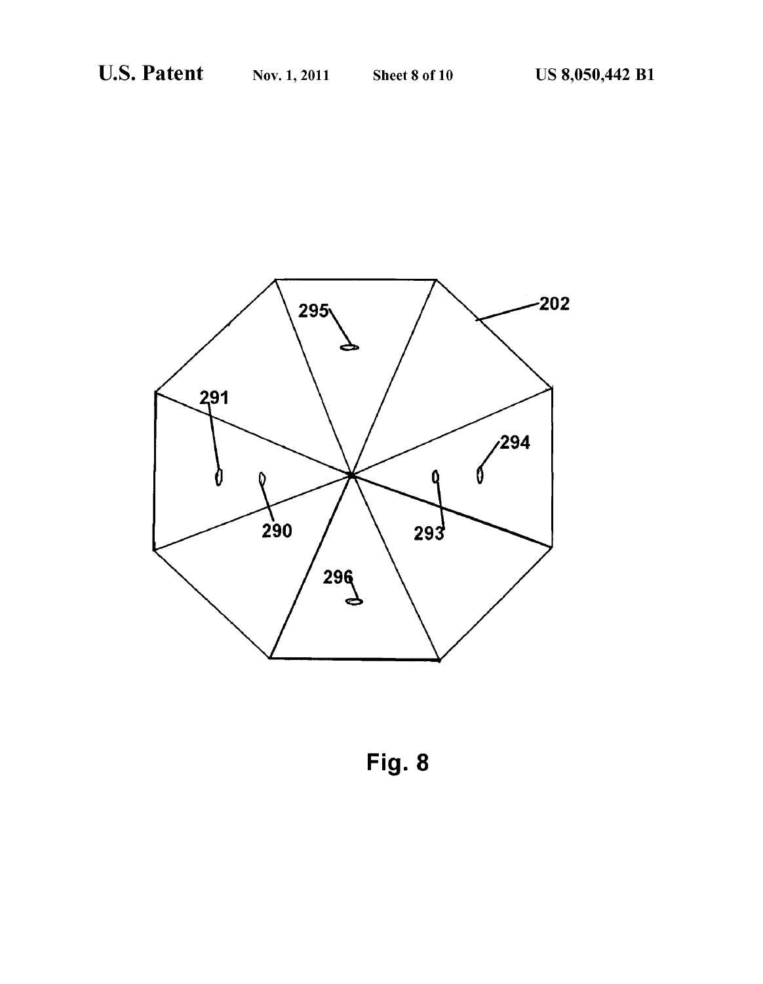

Fig. 8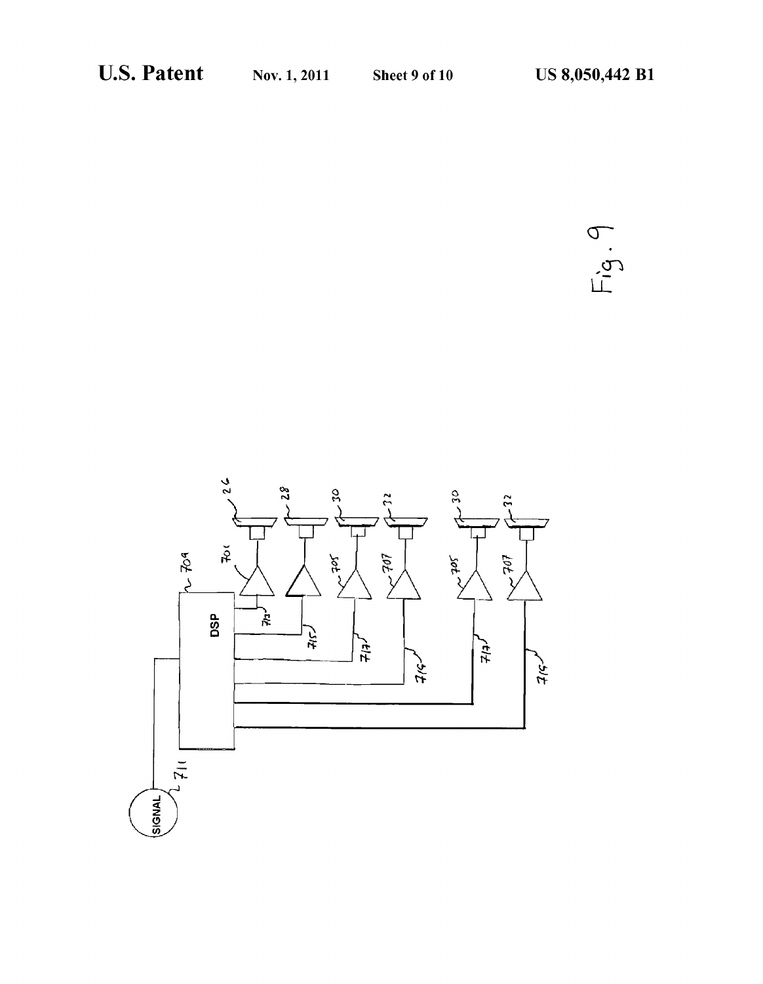$\sigma$  $\overline{c}$ |-

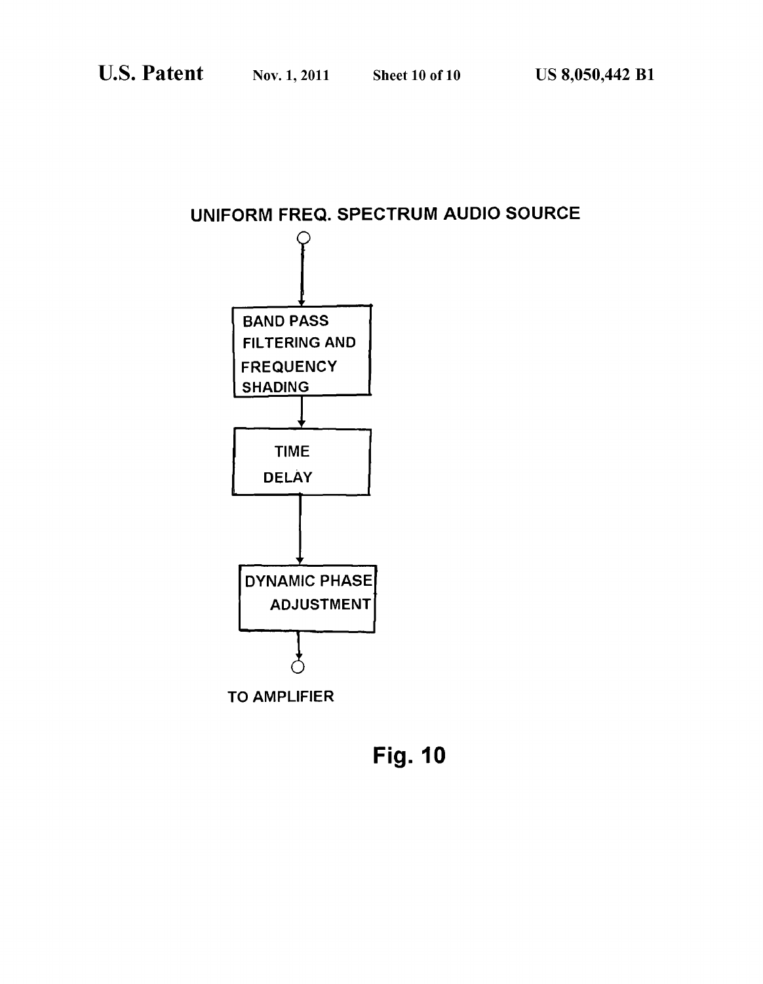## UNIFORM FREQ. SPECTRUM AUDIO SOURCE



Fig. 10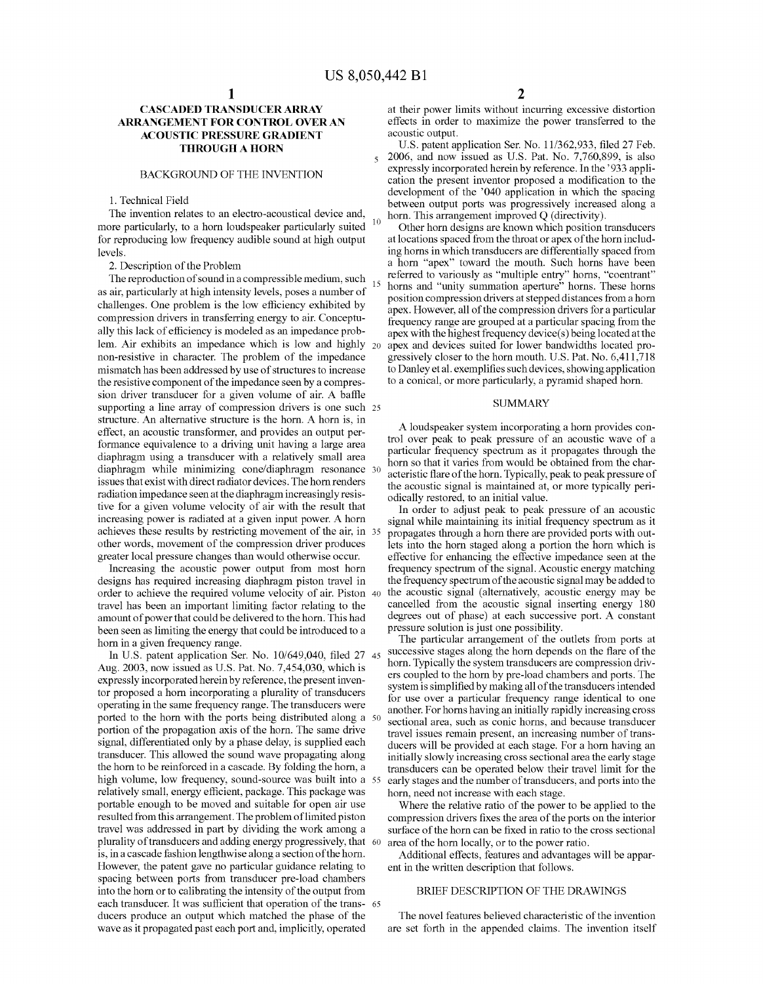$\overline{\mathbf{S}}$ 

15

#### CASCADED TRANSDUCER ARRAY ARRANGEMENT FOR CONTROL OVER AN **ACOUSTIC PRESSURE GRADIENT** THROUGH A HORN

#### BACKGROUND OF THE INVENTION

#### 1. Technical Field

The invention relates to an electro-acoustical device and, more particularly, to a horn loudspeaker particularly suited for reproducing low frequency audible sound at high output levels.

2. Description of the Problem

The reproduction of sound in a compressible medium, such as air, particularly at high intensity levels, poses a number of challenges. One problem is the low efficiency exhibited by compression drivers in transferring energy to air. Conceptu ally this lack of efficiency is modeled as an impedance prob lem. Air exhibits an impedance which is low and highly non-resistive in character. The problem of the impedance mismatch has been addressed by use of structures to increase the resistive component of the impedance seen by a compres sion driver transducer for a given volume of air. A baffle Supporting a line array of compression drivers is one Such 25 structure. An alternative structure is the horn. A horn is, in effect, an acoustic transformer, and provides an output performance equivalence to a driving unit having a large area diaphragm using a transducer with a relatively small area diaphragm while minimizing cone? diaphragm resonance 30 issues that exist with direct radiator devices. The horn renders radiation impedance seen at the diaphragm increasingly resis tive for a given volume velocity of air with the result that increasing power is radiated at a given input power. A horn achieves these results by restricting movement of the air, in 35 other words, movement of the compression driver produces greater local pressure changes than would otherwise occur.

Increasing the acoustic power output from most horn designs has required increasing diaphragm piston travel in order to achieve the required volume velocity of air. Piston 40 travel has been an important limiting factor relating to the amount of power that could be delivered to the horn. This had been seen as limiting the energy that could be introduced to a horn in a given frequency range.

In U.S. patent application Ser. No.  $10/649,040, \text{m}$ ed 2/45 Aug. 2003, now issued as U.S. Pat. No. 7,454,030, which is expressly incorporated herein by reference, the present inven tor proposed a horn incorporating a plurality of transducers operating in the same frequency range. The transducers were ported to the horn with the ports being distributed along a 50 portion of the propagation axis of the horn. The same drive signal, differentiated only by a phase delay, is supplied each transducer. This allowed the Sound wave propagating along the horn to be reinforced in a cascade. By folding the horn, a high Volume, low frequency, Sound-source was built into a 55 relatively small, energy efficient, package. This package was portable enough to be moved and suitable for open air use resulted from this arrangement. The problem of limited piston travel was addressed in part by dividing the work among a plurality of transducers and adding energy progressively, that 60 is, in a cascade fashion lengthwise along a section of the horn. However, the patent gave no particular guidance relating to spacing between ports from transducer pre-load chambers into the horn or to calibrating the intensity of the output from each transducer. It was sufficient that operation of the transducers produce an output which matched the phase of the wave as it propagated past each port and, implicitly, operated 65

at their power limits without incurring excessive distortion effects in order to maximize the power transferred to the acoustic output.

10 U.S. patent application Ser. No. 1 1/362,933, filed 27 Feb. 2006, and now issued as U.S. Pat. No. 7,760,899, is also expressly incorporated herein by reference. In the '933 application the present inventor proposed a modification to the between output ports was progressively increased along a horn. This arrangement improved Q (directivity).

Other horn designs are known which position transducers at locations spaced from the throat or apex of the horn includ ing horns in which transducers are differentially spaced from a horn "apex' toward the mouth. Such horns have been referred to variously as "multiple entry" horns, coentrant<br>horns and "unity summation aperture" horns. These horns position compression drivers at stepped distances from a horn frequency range are grouped at a particular spacing from the apex with the highest frequency device(s) being located at the apex and devices suited for lower bandwidths located progressively closer to the horn mouth. U.S. Pat. No. 6,411,718 to Danley etal. exemplifies such devices, showing application to a conical, or more particularly, a pyramid shaped horn.

#### SUMMARY

A loudspeaker system incorporating a horn provides con trol over peak to peak pressure of an acoustic wave of a particular frequency spectrum as it propagates through the horn so that it varies from would be obtained from the char acteristic flare of the horn. Typically, peak to peak pressure of the acoustic signal is maintained at, or more typically peri odically restored, to an initial value.

In order to adjust peak to peak pressure of an acoustic signal while maintaining its initial frequency spectrum as it propagates through a horn there are provided ports with out lets into the horn staged along a portion the horn which is effective for enhancing the effective impedance seen at the frequency spectrum of the signal. Acoustic energy matching the frequency spectrum of the acoustic signal may be added to the acoustic signal (alternatively, acoustic energy may be cancelled from the acoustic signal inserting energy 180 degrees out of phase) at each successive port. A constant pressure solution is just one possibility.

The particular arrangement of the outlets from ports at successive stages along the horn depends on the flare of the horn. Typically the system transducers are compression driv ers coupled to the horn by pre-load chambers and ports. The system is simplified by making all of the transducers intended for use over a particular frequency range identical to one another. For horns having an initially rapidly increasing cross sectional area, such as conic horns, and because transducer travel issues remain present, an increasing number of trans ducers will be provided at each stage. For a horn having an initially slowly increasing cross sectional area the early stage transducers can be operated below their travel limit for the early stages and the number of transducers, and ports into the horn, need not increase with each stage.

Where the relative ratio of the power to be applied to the compression drivers fixes the area of the ports on the interior surface of the horn can be fixed in ratio to the cross sectional area of the horn locally, or to the power ratio.

Additional effects, features and advantages will be appar ent in the written description that follows.

#### BRIEF DESCRIPTION OF THE DRAWINGS

The novel features believed characteristic of the invention are set forth in the appended claims. The invention itself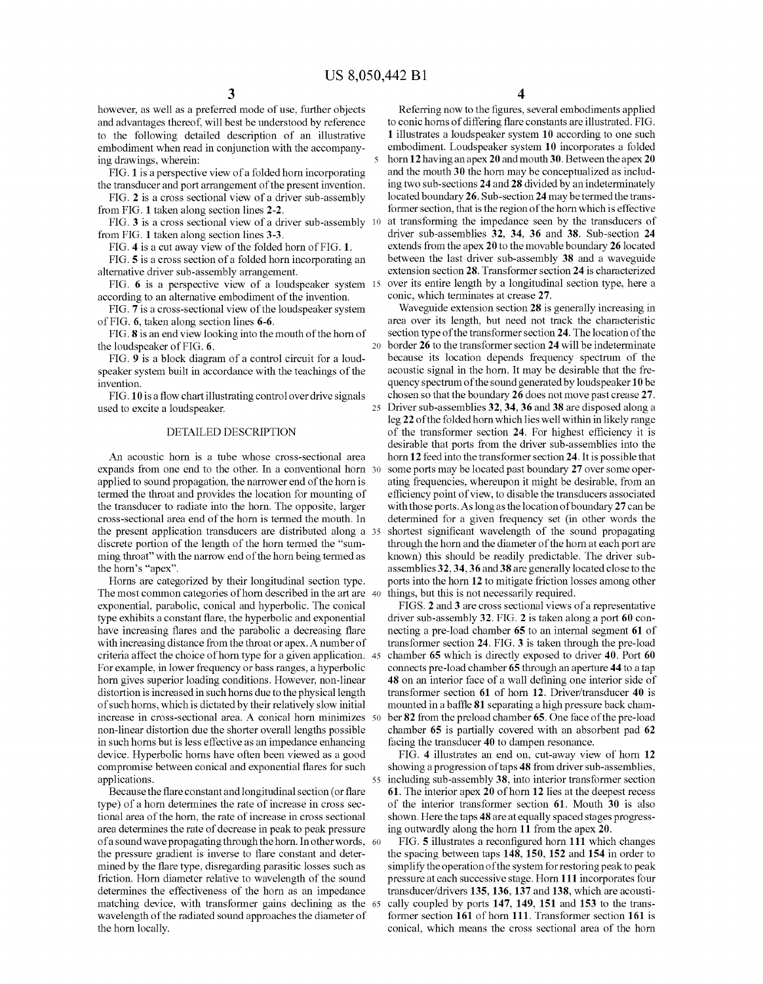25

however, as well as a preferred mode of use, further objects and advantages thereof, will best be understood by reference to the following detailed description of an illustrative embodiment when read in conjunction with the accompany-<br>ing drawings, wherein:

FIG. 1 is a perspective view of a folded horn incorporating the transducer and port arrangement of the present invention.

FIG. 2 is a cross sectional view of a driver sub-assembly from FIG. 1 taken along section lines 2-2.

FIG. 3 is a cross sectional view of a driver sub-assembly 10 from FIG. 1 taken along section lines 3-3.

FIG. 4 is a cut away view of the folded horn of FIG. 1.

FIG. 5 is a cross section of a folded horn incorporating an alternative driver sub-assembly arrangement.

FIG. 6 is a perspective view of a loudspeaker system 15 according to an alternative embodiment of the invention.

FIG. 7 is a cross-sectional view of the loudspeaker system of FIG. 6, taken along section lines 6-6.

FIG. **8** is an end view looking into the mouth of the horn of  $\frac{1}{20}$ the loudspeaker of FIG. 6.

FIG. 9 is a block diagram of a control circuit for a loud speaker system built in accordance with the teachings of the invention.

FIG.10 is a flow chart illustrating control overdrive signals used to excite a loudspeaker.

#### DETAILED DESCRIPTION

An acoustic horn is a tube whose cross-sectional area expands from one end to the other. In a conventional horn 30 applied to sound propagation, the narrower end of the horn is termed the throat and provides the location for mounting of the transducer to radiate into the horn. The opposite, larger cross-sectional area end of the horn is termed the mouth. In the present application transducers are distributed along a 35 discrete portion of the length of the horn termed the "sum ming throat' with the narrow end of the horn being termed as the horn's "apex'.

Horns are categorized by their longitudinal section type. I he most common categories of horn described in the art are 40 exponential, parabolic, conical and hyperbolic. The conical type exhibits a constant flare, the hyperbolic and exponential have increasing flares and the parabolic a decreasing flare with increasing distance from the throat or apex. A number of criteria affect the choice of horn type for a given application. 45 For example, in lower frequency or bass ranges, a hyperbolic horn gives superior loading conditions. However, non-linear distortion is increased in such horns due to the physical length of suchhorns, which is dictated by their relatively slow initial increase in cross-sectional area. A conical horn minimizes 50 non-linear distortion due the shorter overall lengths possible in such horns but is less effective as an impedance enhancing device. Hyperbolic horns have often been viewed as a good compromise between conical and exponential flares for such applications. 55

Because the flare constant and longitudinal section (or flare type) of a horn determines the rate of increase in cross sec tional area of the horn, the rate of increase in cross sectional area determines the rate of decrease in peak to peak pressure of a sound wave propagating through the horn. In other words, 60 the pressure gradient is inverse to flare constant and deter mined by the flare type, disregarding parasitic losses such as friction. Horn diameter relative to wavelength of the sound determines the effectiveness of the horn as an impedance determines the effectiveness of the horn as an impedance matching device, with transformer gains declining as the 65 wavelength of the radiated sound approaches the diameter of the horn locally.

4

Referring now to the figures, several embodiments applied to conic horns of differing flare constants are illustrated. FIG. 1 illustrates a loudspeaker system 10 according to one Such embodiment. Loudspeaker system 10 incorporates a folded horn 12 having an apex 20 and mouth 30. Between the apex 20 and the mouth 30 the horn may be conceptualized as includ ing two sub-sections 24 and 28 divided by an indeterminately located boundary 26. Sub-section 24 may be termed the trans former section, that is the region of the horn which is effective at transforming the impedance seen by the transducers of driver sub-assemblies 32, 34, 36 and 38. Sub-section 24 extends from the apex 20 to the movable boundary 26 located between the last driver sub-assembly 38 and a waveguide extension section 28. Transformer section 24 is characterized over its entire length by a longitudinal section type, here a conic, which terminates at crease 27.

Waveguide extension section 28 is generally increasing in area over its length, but need not track the characteristic section type of the transformer section 24. The location of the border 26 to the transformer section 24 will be indeterminate because its location depends frequency spectrum of the acoustic signal in the horn. It may be desirable that the fre quency spectrum of the sound generated by loudspeaker 10 be chosen so that the boundary 26 does not move past crease 27. Driver sub-assemblies 32, 34, 36 and 38 are disposed along a leg 22 of the folded horn which lies well within in likely range of the transformer section 24. For highest efficiency it is desirable that ports from the driver sub-assemblies into the horn 12 feed into the transformer section 24. It is possible that some ports may be located past boundary 27 over some operating frequencies, whereupon it might be desirable, from an efficiency point of view, to disable the transducers associated with those ports. As long as the location of boundary 27 can be determined for a given frequency set (in other words the shortest significant wavelength of the sound propagating through the horn and the diameter of the horn at each port are known) this should be readily predictable. The driver sub assemblies 32,34.36 and 38 are generally located close to the ports into the horn 12 to mitigate friction losses among other things, but this is not necessarily required.

FIGS. 2 and 3 are cross sectional views of a representative driver sub-assembly 32. FIG. 2 is taken along a port 60 con necting a pre-load chamber 65 to an internal segment 61 of transformer section 24. FIG. 3 is taken through the pre-load chamber 65 which is directly exposed to driver 40. Port 60 connects pre-load chamber 65 through an aperture 44 to a tap 48 on an interior face of a wall defining one interior side of transformer section 61 of horn 12. Driver/transducer 40 is mounted in a baffle 81 separating a high pressure back cham ber 82 from the preload chamber 65. One face of the pre-load chamber 65 is partially covered with an absorbent pad 62 facing the transducer 40 to dampen resonance.

FIG. 4 illustrates an end on, cut-away view of horn 12 showing a progression of taps 48 from driver sub-assemblies, including sub-assembly 38, into interior transformer section 61. The interior apex 20 of horn 12 lies at the deepest recess of the interior transformer section 61. Mouth 30 is also shown. Here the taps 48 are at equally spaced stages progress ing outwardly along the horn 11 from the apex 20.

FIG. 5 illustrates a reconfigured horn 111 which changes the spacing between taps 148, 150, 152 and 154 in order to simplify the operation of the system for restoring peak to peak pressure at each Successive stage. Horn 111 incorporates four transducer/drivers 135,136, 137 and 138, which are acousti cally coupled by ports 147, 149, 151 and 153 to the trans former section 161 of horn 111. Transformer section 161 is conical, which means the cross sectional area of the horn